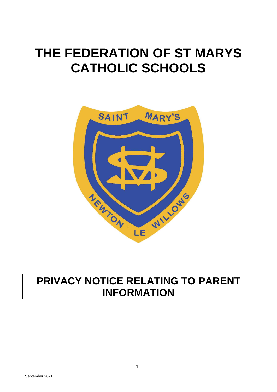# **THE FEDERATION OF ST MARYS CATHOLIC SCHOOLS**



# **PRIVACY NOTICE RELATING TO PARENT INFORMATION**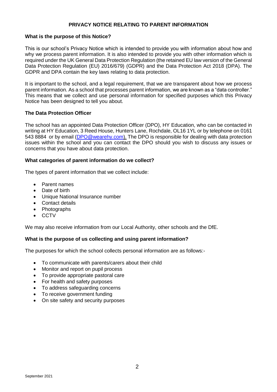### **PRIVACY NOTICE RELATING TO PARENT INFORMATION**

#### **What is the purpose of this Notice?**

This is our school's Privacy Notice which is intended to provide you with information about how and why we process parent information. It is also intended to provide you with other information which is required under the UK General Data Protection Regulation (the retained EU law version of the General Data Protection Regulation (EU) 2016/679) (GDPR) and the Data Protection Act 2018 (DPA). The GDPR and DPA contain the key laws relating to data protection.

It is important to the school, and a legal requirement, that we are transparent about how we process parent information. As a school that processes parent information, we are known as a "data controller." This means that we collect and use personal information for specified purposes which this Privacy Notice has been designed to tell you about.

# **The Data Protection Officer**

The school has an appointed Data Protection Officer (DPO), HY Education, who can be contacted in writing at HY Education, 3 Reed House, Hunters Lane, Rochdale, OL16 1YL or by telephone on 0161 543 8884 or by email [\(DPO@wearehy.com\)](mailto:DPO@wearehy.com). The DPO is responsible for dealing with data protection issues within the school and you can contact the DPO should you wish to discuss any issues or concerns that you have about data protection.

#### **What categories of parent information do we collect?**

The types of parent information that we collect include:

- Parent names
- Date of birth
- Unique National Insurance number
- Contact details
- Photographs
- CCTV

We may also receive information from our Local Authority, other schools and the DfE.

# **What is the purpose of us collecting and using parent information?**

The purposes for which the school collects personal information are as follows:-

- To communicate with parents/carers about their child
- Monitor and report on pupil process
- To provide appropriate pastoral care
- For health and safety purposes
- To address safeguarding concerns
- To receive government funding
- On site safety and security purposes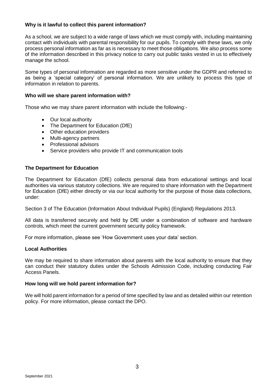# **Why is it lawful to collect this parent information?**

As a school, we are subject to a wide range of laws which we must comply with, including maintaining contact with individuals with parental responsibility for our pupils. To comply with these laws, we only process personal information as far as is necessary to meet those obligations. We also process some of the information described in this privacy notice to carry out public tasks vested in us to effectively manage the school.

Some types of personal information are regarded as more sensitive under the GDPR and referred to as being a 'special category' of personal information. We are unlikely to process this type of information in relation to parents.

# **Who will we share parent information with?**

Those who we may share parent information with include the following:-

- Our local authority
- The Department for Education (DfE)
- Other education providers
- Multi-agency partners
- Professional advisors
- Service providers who provide IT and communication tools

#### **The Department for Education**

The Department for Education (DfE) collects personal data from educational settings and local authorities via various statutory collections. We are required to share information with the Department for Education (DfE) either directly or via our local authority for the purpose of those data collections, under:

Section 3 of The Education (Information About Individual Pupils) (England) Regulations 2013.

All data is transferred securely and held by DfE under a combination of software and hardware controls, which meet the current government security policy framework.

For more information, please see 'How Government uses your data' section.

# **Local Authorities**

We may be required to share information about parents with the local authority to ensure that they can conduct their statutory duties under the Schools Admission Code, including conducting Fair Access Panels.

#### **How long will we hold parent information for?**

We will hold parent information for a period of time specified by law and as detailed within our retention policy. For more information, please contact the DPO.